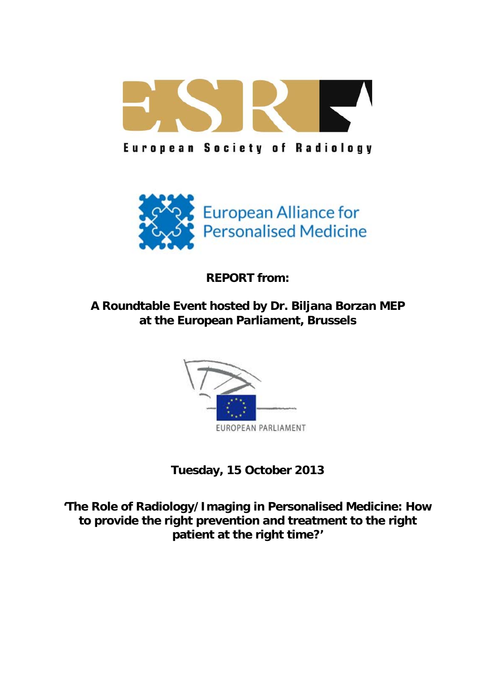

**European Society of Radiology** 



**REPORT from:** 

**A Roundtable Event hosted by Dr. Biljana Borzan MEP at the European Parliament, Brussels** 



**Tuesday, 15 October 2013** 

**'The Role of Radiology/Imaging in Personalised Medicine: How to provide the right prevention and treatment to the right patient at the right time?'**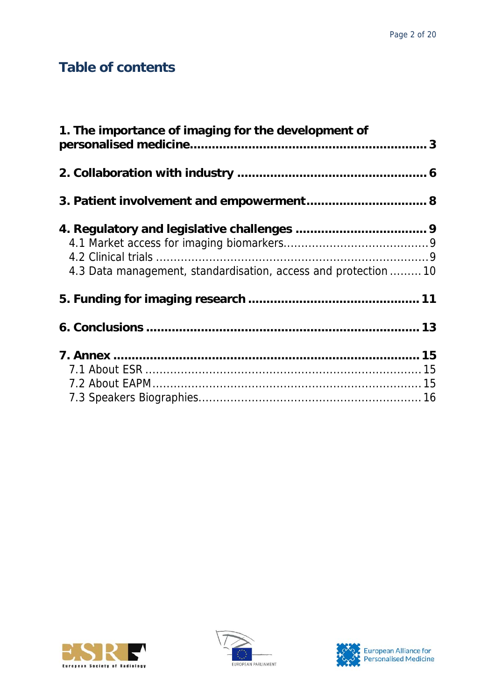# **Table of contents**

| 1. The importance of imaging for the development of             |  |
|-----------------------------------------------------------------|--|
|                                                                 |  |
|                                                                 |  |
|                                                                 |  |
|                                                                 |  |
|                                                                 |  |
| 4.3 Data management, standardisation, access and protection  10 |  |
|                                                                 |  |
|                                                                 |  |
|                                                                 |  |
|                                                                 |  |
|                                                                 |  |
|                                                                 |  |





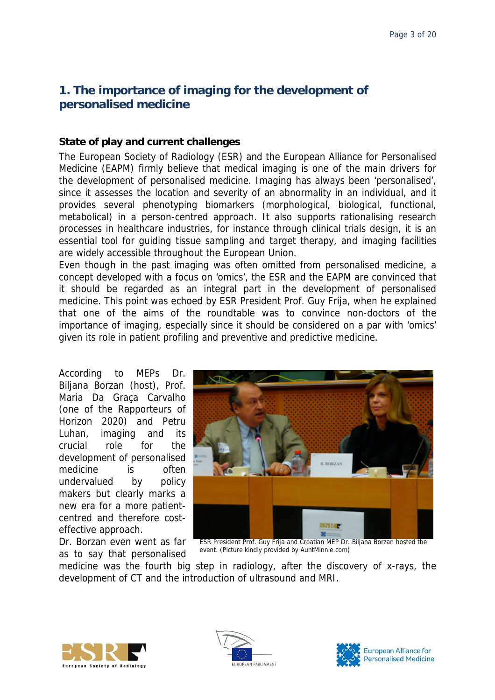## <span id="page-2-0"></span>**1. The importance of imaging for the development of personalised medicine**

## **State of play and current challenges**

The European Society of Radiology (ESR) and the European Alliance for Personalised Medicine (EAPM) firmly believe that medical imaging is one of the main drivers for the development of personalised medicine. Imaging has always been 'personalised', since it assesses the location and severity of an abnormality in an individual, and it provides several phenotyping biomarkers (morphological, biological, functional, metabolical) in a person-centred approach. It also supports rationalising research processes in healthcare industries, for instance through clinical trials design, it is an essential tool for guiding tissue sampling and target therapy, and imaging facilities are widely accessible throughout the European Union.

Even though in the past imaging was often omitted from personalised medicine, a concept developed with a focus on 'omics', the ESR and the EAPM are convinced that it should be regarded as an integral part in the development of personalised medicine. This point was echoed by ESR President Prof. Guy Frija, when he explained that one of the aims of the roundtable was to convince non-doctors of the importance of imaging, especially since it should be considered on a par with 'omics' given its role in patient profiling and preventive and predictive medicine.

According to MEPs Dr. Biljana Borzan (host), Prof. Maria Da Graça Carvalho (one of the Rapporteurs of Horizon 2020) and Petru Luhan, imaging and its crucial role for the development of personalised medicine is often undervalued by policy makers but clearly marks a new era for a more patientcentred and therefore costeffective approach.

Dr. Borzan even went as far as to say that personalised



ESR President Prof. Guy Frija and Croatian MEP Dr. Biljana Borzan hosted the event. (Picture kindly provided by AuntMinnie.com)

medicine was the fourth big step in radiology, after the discovery of x-rays, the development of CT and the introduction of ultrasound and MRI.





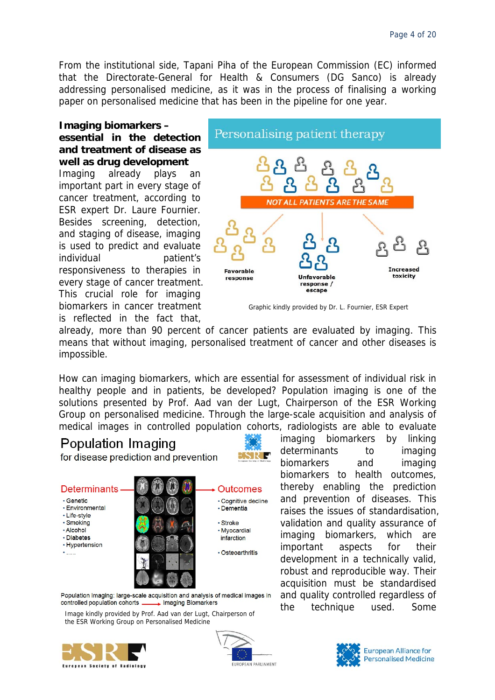From the institutional side, Tapani Piha of the European Commission (EC) informed that the Directorate-General for Health & Consumers (DG Sanco) is already addressing personalised medicine, as it was in the process of finalising a working paper on personalised medicine that has been in the pipeline for one year.

**Imaging biomarkers – essential in the detection and treatment of disease as well as drug development**  Imaging already plays an important part in every stage of cancer treatment, according to ESR expert Dr. Laure Fournier. Besides screening, detection, and staging of disease, imaging is used to predict and evaluate individual patient's responsiveness to therapies in every stage of cancer treatment. This crucial role for imaging biomarkers in cancer treatment is reflected in the fact that,



Graphic kindly provided by Dr. L. Fournier, ESR Expert

already, more than 90 percent of cancer patients are evaluated by imaging. This means that without imaging, personalised treatment of cancer and other diseases is impossible.

How can imaging biomarkers, which are essential for assessment of individual risk in healthy people and in patients, be developed? Population imaging is one of the solutions presented by Prof. Aad van der Lugt, Chairperson of the ESR Working Group on personalised medicine. Through the large-scale acquisition and analysis of medical images in controlled population cohorts, radiologists are able to evaluate

## Population Imaging

for disease prediction and prevention



**Determinants Outcomes** · Genetic · Cognitive decline · Environmental · Dementia • Life-style · Smoking · Stroke · Alcohol · Myocardial · Diabetes infarction · Hypertension · Osteoarthritis  $...$ 

development in a technically valid, robust and reproducible way. Their acquisition must be standardised and quality controlled regardless of the technique used. Some

Population Imaging: large-scale acquisition and analysis of medical images in controlled population cohorts \_ Imaging Biomarkers

Image kindly provided by Prof. Aad van der Lugt, Chairperson of the ESR Working Group on Personalised Medicine







imaging biomarkers by linking determinants to imaging biomarkers and imaging biomarkers to health outcomes, thereby enabling the prediction and prevention of diseases. This raises the issues of standardisation, validation and quality assurance of imaging biomarkers, which are important aspects for their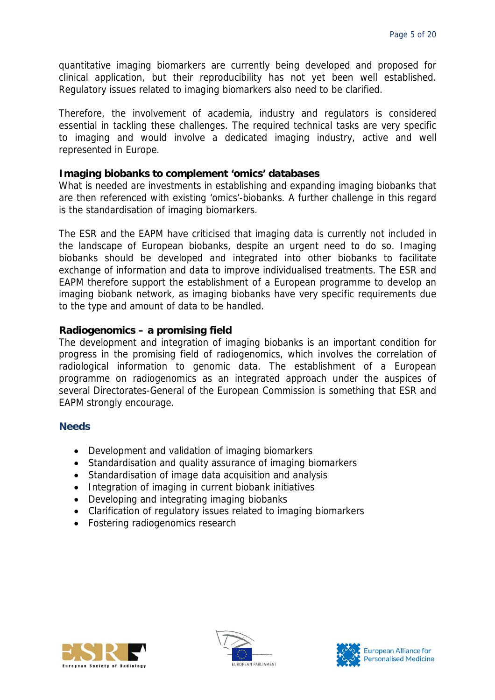quantitative imaging biomarkers are currently being developed and proposed for clinical application, but their reproducibility has not yet been well established. Regulatory issues related to imaging biomarkers also need to be clarified.

Therefore, the involvement of academia, industry and regulators is considered essential in tackling these challenges. The required technical tasks are very specific to imaging and would involve a dedicated imaging industry, active and well represented in Europe.

### **Imaging biobanks to complement 'omics' databases**

What is needed are investments in establishing and expanding imaging biobanks that are then referenced with existing 'omics'-biobanks. A further challenge in this regard is the standardisation of imaging biomarkers.

The ESR and the EAPM have criticised that imaging data is currently not included in the landscape of European biobanks, despite an urgent need to do so. Imaging biobanks should be developed and integrated into other biobanks to facilitate exchange of information and data to improve individualised treatments. The ESR and EAPM therefore support the establishment of a European programme to develop an imaging biobank network, as imaging biobanks have very specific requirements due to the type and amount of data to be handled.

### **Radiogenomics – a promising field**

The development and integration of imaging biobanks is an important condition for progress in the promising field of radiogenomics, which involves the correlation of radiological information to genomic data. The establishment of a European programme on radiogenomics as an integrated approach under the auspices of several Directorates-General of the European Commission is something that ESR and EAPM strongly encourage.

- Development and validation of imaging biomarkers
- Standardisation and quality assurance of imaging biomarkers
- Standardisation of image data acquisition and analysis
- Integration of imaging in current biobank initiatives
- Developing and integrating imaging biobanks
- Clarification of regulatory issues related to imaging biomarkers
- Fostering radiogenomics research





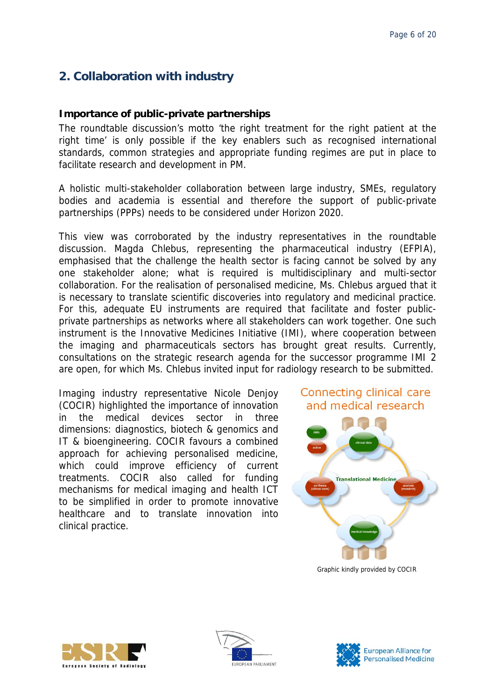## <span id="page-5-0"></span>**2. Collaboration with industry**

## **Importance of public-private partnerships**

The roundtable discussion's motto 'the right treatment for the right patient at the right time' is only possible if the key enablers such as recognised international standards, common strategies and appropriate funding regimes are put in place to facilitate research and development in PM.

A holistic multi-stakeholder collaboration between large industry, SMEs, regulatory bodies and academia is essential and therefore the support of public-private partnerships (PPPs) needs to be considered under Horizon 2020.

This view was corroborated by the industry representatives in the roundtable discussion. Magda Chlebus, representing the pharmaceutical industry (EFPIA), emphasised that the challenge the health sector is facing cannot be solved by any one stakeholder alone; what is required is multidisciplinary and multi-sector collaboration. For the realisation of personalised medicine, Ms. Chlebus argued that it is necessary to translate scientific discoveries into regulatory and medicinal practice. For this, adequate EU instruments are required that facilitate and foster publicprivate partnerships as networks where all stakeholders can work together. One such instrument is the Innovative Medicines Initiative (IMI), where cooperation between the imaging and pharmaceuticals sectors has brought great results. Currently, consultations on the strategic research agenda for the successor programme IMI 2 are open, for which Ms. Chlebus invited input for radiology research to be submitted.

Imaging industry representative Nicole Denjoy (COCIR) highlighted the importance of innovation in the medical devices sector in three dimensions: diagnostics, biotech & genomics and IT & bioengineering. COCIR favours a combined approach for achieving personalised medicine, which could improve efficiency of current treatments. COCIR also called for funding mechanisms for medical imaging and health ICT to be simplified in order to promote innovative healthcare and to translate innovation into clinical practice.





Graphic kindly provided by COCIR





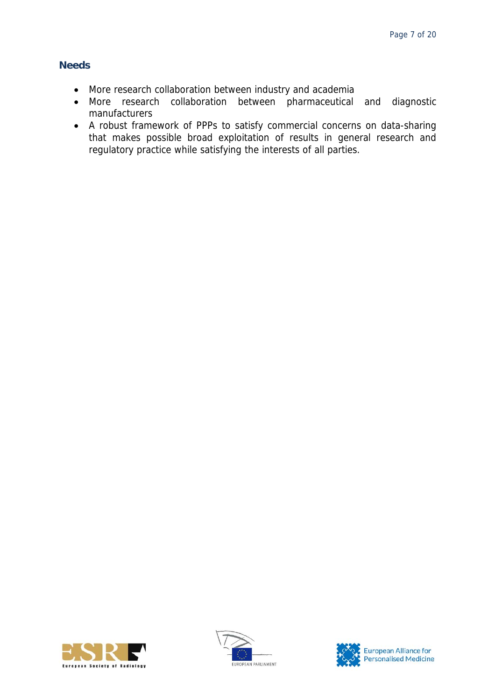- More research collaboration between industry and academia
- More research collaboration between pharmaceutical and diagnostic manufacturers
- A robust framework of PPPs to satisfy commercial concerns on data-sharing that makes possible broad exploitation of results in general research and regulatory practice while satisfying the interests of all parties.





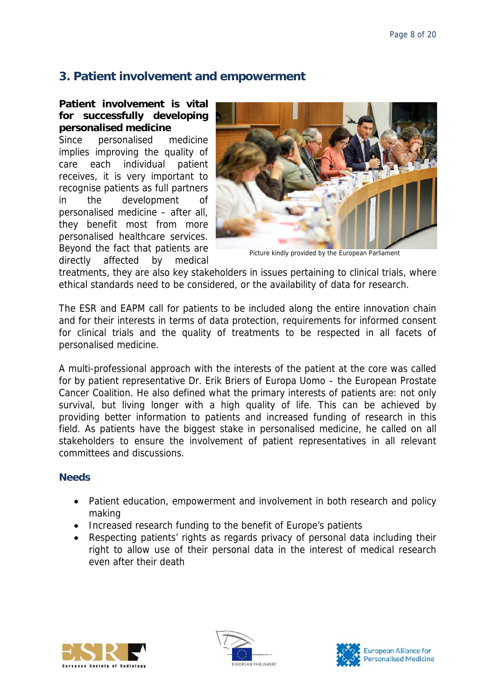## <span id="page-7-0"></span>**3. Patient involvement and empowerment**

**Patient involvement is vital for successfully developing personalised medicine** 

Since personalised medicine implies improving the quality of care each individual patient receives, it is very important to recognise patients as full partners in the development of personalised medicine – after all, they benefit most from more personalised healthcare services. Beyond the fact that patients are directly affected by medical



Picture kindly provided by the European Parliament

treatments, they are also key stakeholders in issues pertaining to clinical trials, where ethical standards need to be considered, or the availability of data for research.

The ESR and EAPM call for patients to be included along the entire innovation chain and for their interests in terms of data protection, requirements for informed consent for clinical trials and the quality of treatments to be respected in all facets of personalised medicine.

A multi-professional approach with the interests of the patient at the core was called for by patient representative Dr. Erik Briers of Europa Uomo – the European Prostate Cancer Coalition. He also defined what the primary interests of patients are: not only survival, but living longer with a high quality of life. This can be achieved by providing better information to patients and increased funding of research in this field. As patients have the biggest stake in personalised medicine, he called on all stakeholders to ensure the involvement of patient representatives in all relevant committees and discussions.

- Patient education, empowerment and involvement in both research and policy making
- Increased research funding to the benefit of Europe's patients
- Respecting patients' rights as regards privacy of personal data including their right to allow use of their personal data in the interest of medical research even after their death





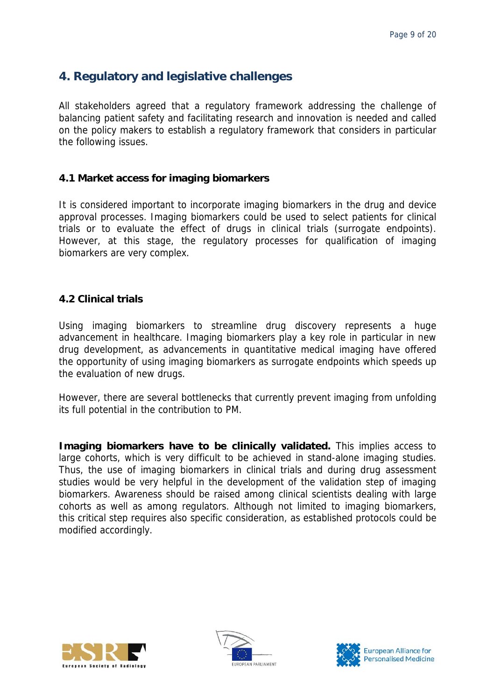## <span id="page-8-0"></span>**4. Regulatory and legislative challenges**

All stakeholders agreed that a regulatory framework addressing the challenge of balancing patient safety and facilitating research and innovation is needed and called on the policy makers to establish a regulatory framework that considers in particular the following issues.

## <span id="page-8-1"></span>**4.1 Market access for imaging biomarkers**

It is considered important to incorporate imaging biomarkers in the drug and device approval processes. Imaging biomarkers could be used to select patients for clinical trials or to evaluate the effect of drugs in clinical trials (surrogate endpoints). However, at this stage, the regulatory processes for qualification of imaging biomarkers are very complex.

### <span id="page-8-2"></span>**4.2 Clinical trials**

Using imaging biomarkers to streamline drug discovery represents a huge advancement in healthcare. Imaging biomarkers play a key role in particular in new drug development, as advancements in quantitative medical imaging have offered the opportunity of using imaging biomarkers as surrogate endpoints which speeds up the evaluation of new drugs.

However, there are several bottlenecks that currently prevent imaging from unfolding its full potential in the contribution to PM.

**Imaging biomarkers have to be clinically validated.** This implies access to large cohorts, which is very difficult to be achieved in stand-alone imaging studies. Thus, the use of imaging biomarkers in clinical trials and during drug assessment studies would be very helpful in the development of the validation step of imaging biomarkers. Awareness should be raised among clinical scientists dealing with large cohorts as well as among regulators. Although not limited to imaging biomarkers, this critical step requires also specific consideration, as established protocols could be modified accordingly.





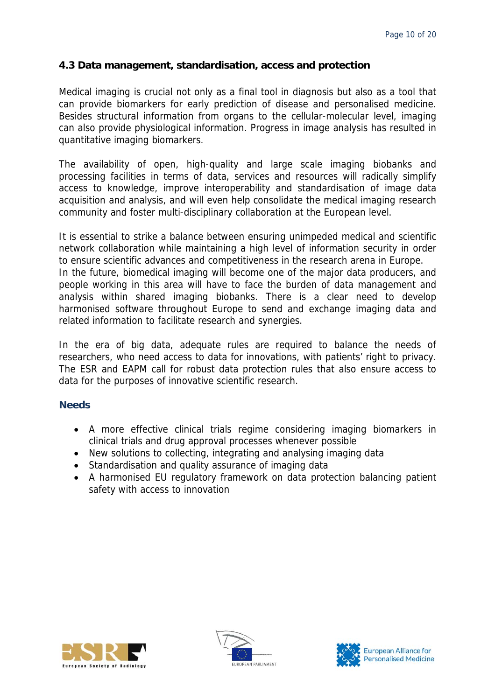## <span id="page-9-0"></span>**4.3 Data management, standardisation, access and protection**

Medical imaging is crucial not only as a final tool in diagnosis but also as a tool that can provide biomarkers for early prediction of disease and personalised medicine. Besides structural information from organs to the cellular-molecular level, imaging can also provide physiological information. Progress in image analysis has resulted in quantitative imaging biomarkers.

The availability of open, high-quality and large scale imaging biobanks and processing facilities in terms of data, services and resources will radically simplify access to knowledge, improve interoperability and standardisation of image data acquisition and analysis, and will even help consolidate the medical imaging research community and foster multi-disciplinary collaboration at the European level.

It is essential to strike a balance between ensuring unimpeded medical and scientific network collaboration while maintaining a high level of information security in order to ensure scientific advances and competitiveness in the research arena in Europe. In the future, biomedical imaging will become one of the major data producers, and people working in this area will have to face the burden of data management and analysis within shared imaging biobanks. There is a clear need to develop harmonised software throughout Europe to send and exchange imaging data and related information to facilitate research and synergies.

In the era of big data, adequate rules are required to balance the needs of researchers, who need access to data for innovations, with patients' right to privacy. The ESR and EAPM call for robust data protection rules that also ensure access to data for the purposes of innovative scientific research.

- A more effective clinical trials regime considering imaging biomarkers in clinical trials and drug approval processes whenever possible
- New solutions to collecting, integrating and analysing imaging data
- Standardisation and quality assurance of imaging data
- A harmonised EU regulatory framework on data protection balancing patient safety with access to innovation





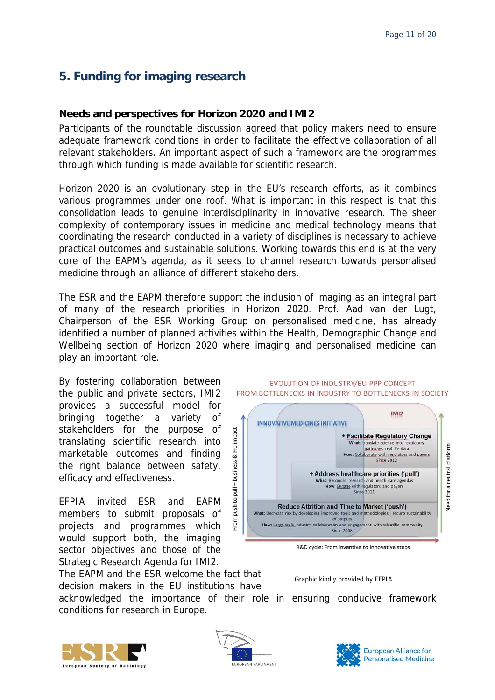## <span id="page-10-0"></span>**5. Funding for imaging research**

## **Needs and perspectives for Horizon 2020 and IMI2**

Participants of the roundtable discussion agreed that policy makers need to ensure adequate framework conditions in order to facilitate the effective collaboration of all relevant stakeholders. An important aspect of such a framework are the programmes through which funding is made available for scientific research.

Horizon 2020 is an evolutionary step in the EU's research efforts, as it combines various programmes under one roof. What is important in this respect is that this consolidation leads to genuine interdisciplinarity in innovative research. The sheer complexity of contemporary issues in medicine and medical technology means that coordinating the research conducted in a variety of disciplines is necessary to achieve practical outcomes and sustainable solutions. Working towards this end is at the very core of the EAPM's agenda, as it seeks to channel research towards personalised medicine through an alliance of different stakeholders.

The ESR and the EAPM therefore support the inclusion of imaging as an integral part of many of the research priorities in Horizon 2020. Prof. Aad van der Lugt, Chairperson of the ESR Working Group on personalised medicine, has already identified a number of planned activities within the Health, Demographic Change and Wellbeing section of Horizon 2020 where imaging and personalised medicine can play an important role.

By fostering collaboration between the public and private sectors, IMI2 provides a successful model for bringing together a variety of stakeholders for the purpose of translating scientific research into marketable outcomes and finding the right balance between safety, efficacy and effectiveness.

EFPIA invited ESR and EAPM members to submit proposals of projects and programmes which would support both, the imaging sector objectives and those of the Strategic Research Agenda for IMI2.

The EAPM and the ESR welcome the fact that  $G$  Graphic kindly provided by EFPIA decision makers in the EU institutions have

acknowledged the importance of their role in ensuring conducive framework conditions for research in Europe.



EVOLUTION OF INDUSTRY/EU PPP CONCEPT FROM BOTTLENECKS IN INDUSTRY TO BOTTLENECKS IN SOCIETY





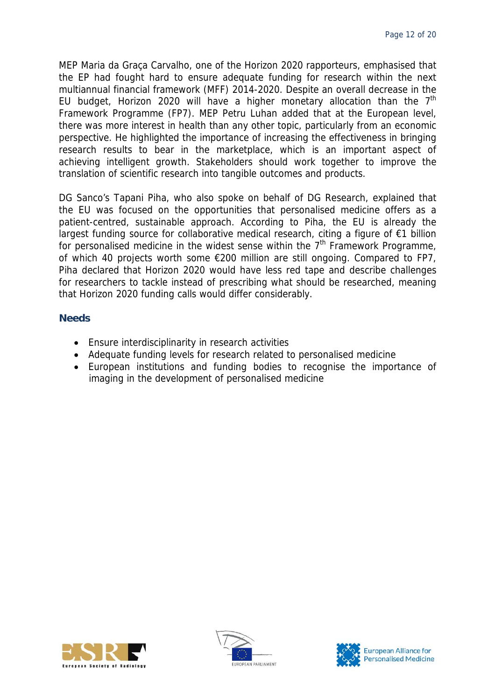MEP Maria da Graça Carvalho, one of the Horizon 2020 rapporteurs, emphasised that the EP had fought hard to ensure adequate funding for research within the next multiannual financial framework (MFF) 2014-2020. Despite an overall decrease in the EU budget, Horizon 2020 will have a higher monetary allocation than the  $7<sup>th</sup>$ Framework Programme (FP7). MEP Petru Luhan added that at the European level, there was more interest in health than any other topic, particularly from an economic perspective. He highlighted the importance of increasing the effectiveness in bringing research results to bear in the marketplace, which is an important aspect of achieving intelligent growth. Stakeholders should work together to improve the translation of scientific research into tangible outcomes and products.

DG Sanco's Tapani Piha, who also spoke on behalf of DG Research, explained that the EU was focused on the opportunities that personalised medicine offers as a patient-centred, sustainable approach. According to Piha, the EU is already the largest funding source for collaborative medical research, citing a figure of €1 billion for personalised medicine in the widest sense within the  $7<sup>th</sup>$  Framework Programme, of which 40 projects worth some €200 million are still ongoing. Compared to FP7, Piha declared that Horizon 2020 would have less red tape and describe challenges for researchers to tackle instead of prescribing what should be researched, meaning that Horizon 2020 funding calls would differ considerably.

- Ensure interdisciplinarity in research activities
- Adequate funding levels for research related to personalised medicine
- European institutions and funding bodies to recognise the importance of imaging in the development of personalised medicine





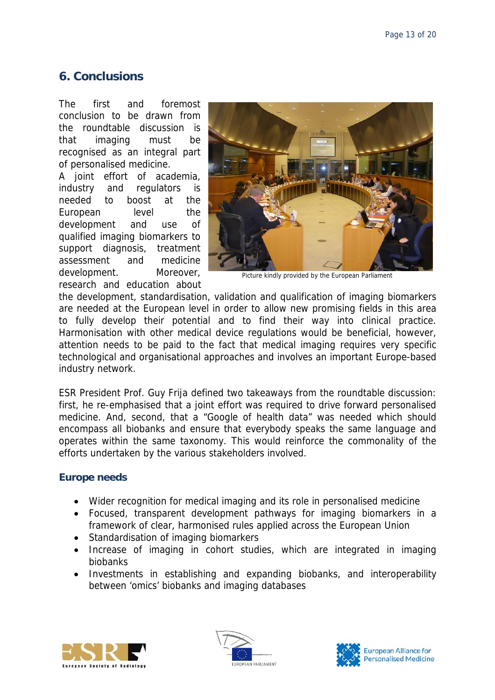## <span id="page-12-0"></span>**6. Conclusions**

The first and foremost conclusion to be drawn from the roundtable discussion is that imaging must be recognised as an integral part of personalised medicine.

A joint effort of academia, industry and regulators is needed to boost at the European level the development and use of qualified imaging biomarkers to support diagnosis, treatment assessment and medicine development. Moreover, research and education about



Picture kindly provided by the European Parliament

the development, standardisation, validation and qualification of imaging biomarkers are needed at the European level in order to allow new promising fields in this area to fully develop their potential and to find their way into clinical practice. Harmonisation with other medical device regulations would be beneficial, however, attention needs to be paid to the fact that medical imaging requires very specific technological and organisational approaches and involves an important Europe-based industry network.

ESR President Prof. Guy Frija defined two takeaways from the roundtable discussion: first, he re-emphasised that a joint effort was required to drive forward personalised medicine. And, second, that a "Google of health data" was needed which should encompass all biobanks and ensure that everybody speaks the same language and operates within the same taxonomy. This would reinforce the commonality of the efforts undertaken by the various stakeholders involved.

## **Europe needs**

- Wider recognition for medical imaging and its role in personalised medicine
- Focused, transparent development pathways for imaging biomarkers in a framework of clear, harmonised rules applied across the European Union
- Standardisation of imaging biomarkers
- Increase of imaging in cohort studies, which are integrated in imaging biobanks
- Investments in establishing and expanding biobanks, and interoperability between 'omics' biobanks and imaging databases





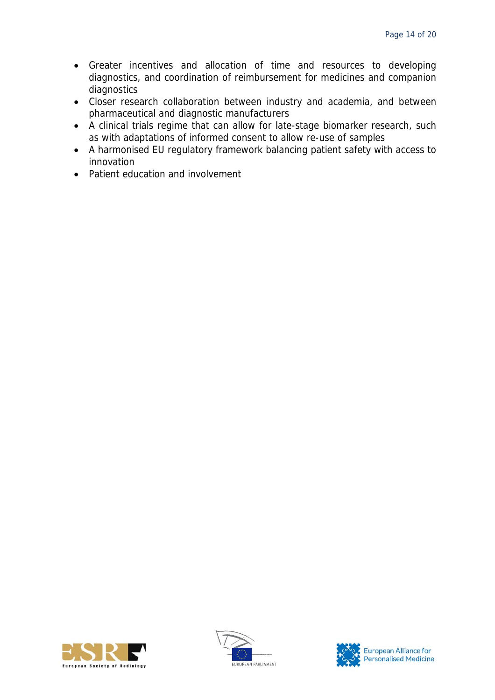- Greater incentives and allocation of time and resources to developing diagnostics, and coordination of reimbursement for medicines and companion diagnostics
- Closer research collaboration between industry and academia, and between pharmaceutical and diagnostic manufacturers
- A clinical trials regime that can allow for late-stage biomarker research, such as with adaptations of informed consent to allow re-use of samples
- A harmonised EU regulatory framework balancing patient safety with access to innovation
- Patient education and involvement





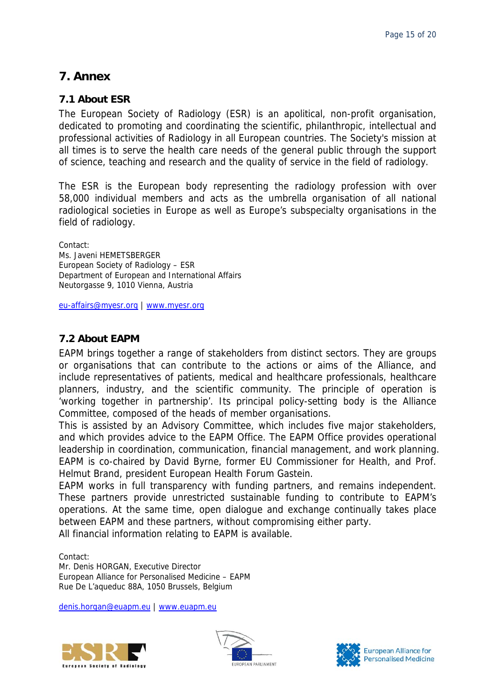## <span id="page-14-0"></span>**7. Annex**

## <span id="page-14-1"></span>**7.1 About ESR**

The European Society of Radiology (ESR) is an apolitical, non-profit organisation, dedicated to promoting and coordinating the scientific, philanthropic, intellectual and professional activities of Radiology in all European countries. The Society's mission at all times is to serve the health care needs of the general public through the support of science, teaching and research and the quality of service in the field of radiology.

The ESR is the European body representing the radiology profession with over 58,000 individual members and acts as the umbrella organisation of all national radiological societies in Europe as well as Europe's subspecialty organisations in the field of radiology.

Contact: Ms. Javeni HEMETSBERGER European Society of Radiology – ESR Department of European and International Affairs Neutorgasse 9, 1010 Vienna, Austria

[eu-affairs@myesr.org](mailto:eu-affairs@myesr.org) | [www.myesr.org](http://www.myesr.org/)

## <span id="page-14-2"></span>**7.2 About EAPM**

EAPM brings together a range of stakeholders from distinct sectors. They are groups or organisations that can contribute to the actions or aims of the Alliance, and include representatives of patients, medical and healthcare professionals, healthcare planners, industry, and the scientific community. The principle of operation is 'working together in partnership'. Its principal policy-setting body is the Alliance Committee, composed of the heads of member organisations.

This is assisted by an Advisory Committee, which includes five major stakeholders, and which provides advice to the EAPM Office. The EAPM Office provides operational leadership in coordination, communication, financial management, and work planning. EAPM is co-chaired by David Byrne, former EU Commissioner for Health, and Prof. Helmut Brand, president European Health Forum Gastein.

EAPM works in full transparency with funding partners, and remains independent. These partners provide unrestricted sustainable funding to contribute to EAPM's operations. At the same time, open dialogue and exchange continually takes place between EAPM and these partners, without compromising either party. All financial information relating to EAPM is available.

Contact: Mr. Denis HORGAN, Executive Director European Alliance for Personalised Medicine – EAPM Rue De L'aqueduc 88A, 1050 Brussels, Belgium

[denis.horgan@euapm.eu](mailto:denis.horgan@euapm.eu) | [www.euapm.eu](http://www.euapm.eu/)





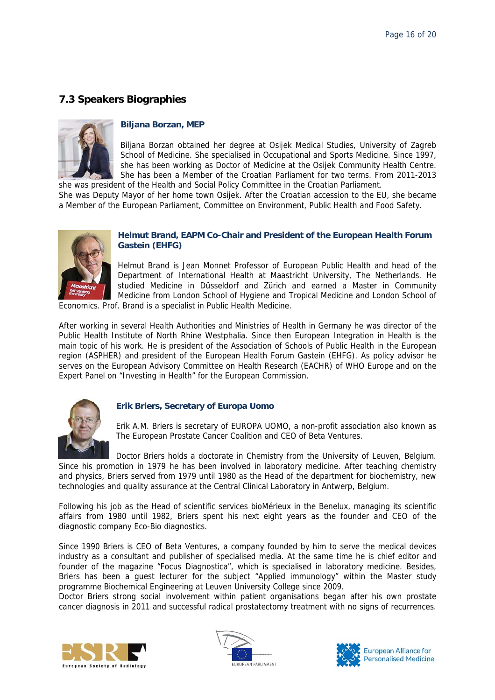## <span id="page-15-0"></span>**7.3 Speakers Biographies**



#### **Biljana Borzan, MEP**

Biljana Borzan obtained her degree at Osijek Medical Studies, University of Zagreb School of Medicine. She specialised in Occupational and Sports Medicine. Since 1997, she has been working as Doctor of Medicine at the Osijek Community Health Centre. She has been a Member of the Croatian Parliament for two terms. From 2011-2013 she was president of the Health and Social Policy Committee in the Croatian Parliament.

She was Deputy Mayor of her home town Osijek. After the Croatian accession to the EU, she became a Member of the European Parliament, Committee on Environment, Public Health and Food Safety.



#### **Helmut Brand, EAPM Co-Chair and President of the European Health Forum Gastein (EHFG)**

Helmut Brand is Jean Monnet Professor of European Public Health and head of the Department of International Health at Maastricht University, The Netherlands. He studied Medicine in Düsseldorf and Zürich and earned a Master in Community Medicine from London School of Hygiene and Tropical Medicine and London School of

Economics. Prof. Brand is a specialist in Public Health Medicine.

After working in several Health Authorities and Ministries of Health in Germany he was director of the Public Health Institute of North Rhine Westphalia. Since then European Integration in Health is the main topic of his work. He is president of the Association of Schools of Public Health in the European region (ASPHER) and president of the European Health Forum Gastein (EHFG). As policy advisor he serves on the European Advisory Committee on Health Research (EACHR) of WHO Europe and on the Expert Panel on "Investing in Health" for the European Commission.



#### **Erik Briers, Secretary of Europa Uomo**

Erik A.M. Briers is secretary of EUROPA UOMO, a non-profit association also known as The European Prostate Cancer Coalition and CEO of Beta Ventures.

Doctor Briers holds a doctorate in Chemistry from the University of Leuven, Belgium. Since his promotion in 1979 he has been involved in laboratory medicine. After teaching chemistry and physics, Briers served from 1979 until 1980 as the Head of the department for biochemistry, new technologies and quality assurance at the Central Clinical Laboratory in Antwerp, Belgium.

Following his job as the Head of scientific services bioMérieux in the Benelux, managing its scientific affairs from 1980 until 1982, Briers spent his next eight years as the founder and CEO of the diagnostic company Eco-Bio diagnostics.

Since 1990 Briers is CEO of Beta Ventures, a company founded by him to serve the medical devices industry as a consultant and publisher of specialised media. At the same time he is chief editor and founder of the magazine "Focus Diagnostica", which is specialised in laboratory medicine. Besides, Briers has been a guest lecturer for the subject "Applied immunology" within the Master study programme Biochemical Engineering at Leuven University College since 2009.

Doctor Briers strong social involvement within patient organisations began after his own prostate cancer diagnosis in 2011 and successful radical prostatectomy treatment with no signs of recurrences.





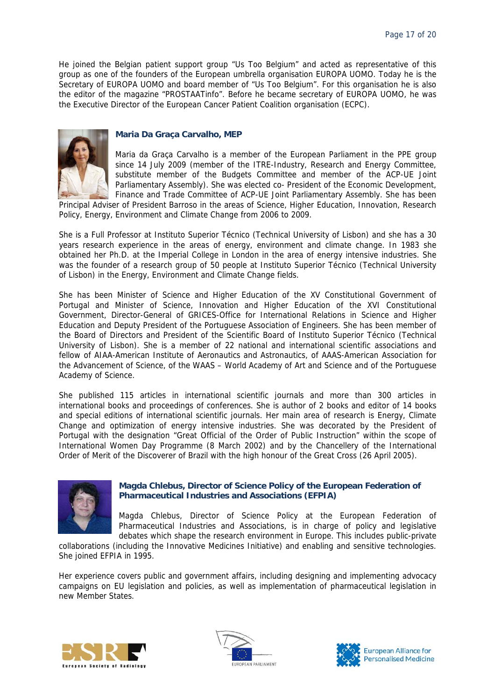He joined the Belgian patient support group "Us Too Belgium" and acted as representative of this group as one of the founders of the European umbrella organisation EUROPA UOMO. Today he is the Secretary of EUROPA UOMO and board member of "Us Too Belgium". For this organisation he is also the editor of the magazine "PROSTAATinfo". Before he became secretary of EUROPA UOMO, he was the Executive Director of the European Cancer Patient Coalition organisation (ECPC).



#### **Maria Da Graça Carvalho, MEP**

Maria da Graça Carvalho is a member of the European Parliament in the PPE group since 14 July 2009 (member of the ITRE-Industry, Research and Energy Committee, substitute member of the Budgets Committee and member of the ACP-UE Joint Parliamentary Assembly). She was elected co- President of the Economic Development, Finance and Trade Committee of ACP-UE Joint Parliamentary Assembly. She has been

Principal Adviser of President Barroso in the areas of Science, Higher Education, Innovation, Research Policy, Energy, Environment and Climate Change from 2006 to 2009.

She is a Full Professor at Instituto Superior Técnico (Technical University of Lisbon) and she has a 30 years research experience in the areas of energy, environment and climate change. In 1983 she obtained her Ph.D. at the Imperial College in London in the area of energy intensive industries. She was the founder of a research group of 50 people at Instituto Superior Técnico (Technical University of Lisbon) in the Energy, Environment and Climate Change fields.

She has been Minister of Science and Higher Education of the XV Constitutional Government of Portugal and Minister of Science, Innovation and Higher Education of the XVI Constitutional Government, Director-General of GRICES-Office for International Relations in Science and Higher Education and Deputy President of the Portuguese Association of Engineers. She has been member of the Board of Directors and President of the Scientific Board of Instituto Superior Técnico (Technical University of Lisbon). She is a member of 22 national and international scientific associations and fellow of AIAA-American Institute of Aeronautics and Astronautics, of AAAS-American Association for the Advancement of Science, of the WAAS – World Academy of Art and Science and of the Portuguese Academy of Science.

She published 115 articles in international scientific journals and more than 300 articles in international books and proceedings of conferences. She is author of 2 books and editor of 14 books and special editions of international scientific journals. Her main area of research is Energy, Climate Change and optimization of energy intensive industries. She was decorated by the President of Portugal with the designation "Great Official of the Order of Public Instruction" within the scope of International Women Day Programme (8 March 2002) and by the Chancellery of the International Order of Merit of the Discoverer of Brazil with the high honour of the Great Cross (26 April 2005).



#### **Magda Chlebus, Director of Science Policy of the European Federation of Pharmaceutical Industries and Associations (EFPIA)**

Magda Chlebus, Director of Science Policy at the European Federation of Pharmaceutical Industries and Associations, is in charge of policy and legislative debates which shape the research environment in Europe. This includes public-private

collaborations (including the Innovative Medicines Initiative) and enabling and sensitive technologies. She joined EFPIA in 1995.

Her experience covers public and government affairs, including designing and implementing advocacy campaigns on EU legislation and policies, as well as implementation of pharmaceutical legislation in new Member States.





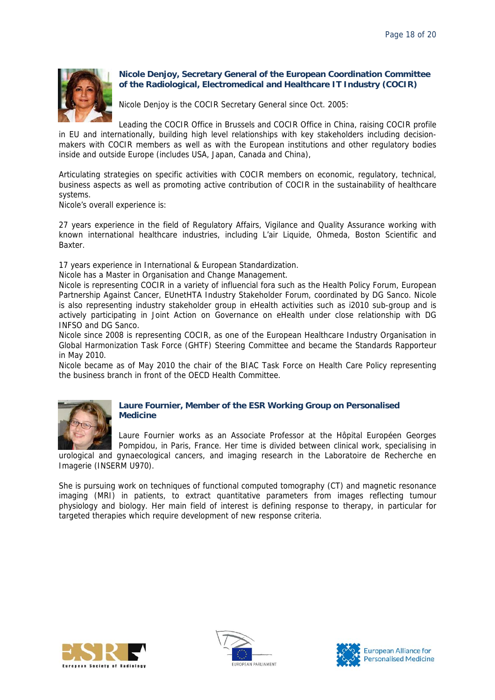

### **Nicole Denjoy, Secretary General of the European Coordination Committee of the Radiological, Electromedical and Healthcare IT Industry (COCIR)**

Nicole Denjoy is the COCIR Secretary General since Oct. 2005:

Leading the COCIR Office in Brussels and COCIR Office in China, raising COCIR profile in EU and internationally, building high level relationships with key stakeholders including decisionmakers with COCIR members as well as with the European institutions and other regulatory bodies inside and outside Europe (includes USA, Japan, Canada and China),

Articulating strategies on specific activities with COCIR members on economic, regulatory, technical, business aspects as well as promoting active contribution of COCIR in the sustainability of healthcare systems.

Nicole's overall experience is:

27 years experience in the field of Regulatory Affairs, Vigilance and Quality Assurance working with known international healthcare industries, including L'air Liquide, Ohmeda, Boston Scientific and Baxter.

17 years experience in International & European Standardization.

Nicole has a Master in Organisation and Change Management.

Nicole is representing COCIR in a variety of influencial fora such as the Health Policy Forum, European Partnership Against Cancer, EUnetHTA Industry Stakeholder Forum, coordinated by DG Sanco. Nicole is also representing industry stakeholder group in eHealth activities such as i2010 sub-group and is actively participating in Joint Action on Governance on eHealth under close relationship with DG INFSO and DG Sanco.

Nicole since 2008 is representing COCIR, as one of the European Healthcare Industry Organisation in Global Harmonization Task Force (GHTF) Steering Committee and became the Standards Rapporteur in May 2010.

Nicole became as of May 2010 the chair of the BIAC Task Force on Health Care Policy representing the business branch in front of the OECD Health Committee.



### **Laure Fournier, Member of the ESR Working Group on Personalised Medicine**

Laure Fournier works as an Associate Professor at the Hôpital Européen Georges Pompidou, in Paris, France. Her time is divided between clinical work, specialising in urological and gynaecological cancers, and imaging research in the Laboratoire de Recherche en Imagerie (INSERM U970).

She is pursuing work on techniques of functional computed tomography (CT) and magnetic resonance imaging (MRI) in patients, to extract quantitative parameters from images reflecting tumour physiology and biology. Her main field of interest is defining response to therapy, in particular for targeted therapies which require development of new response criteria.





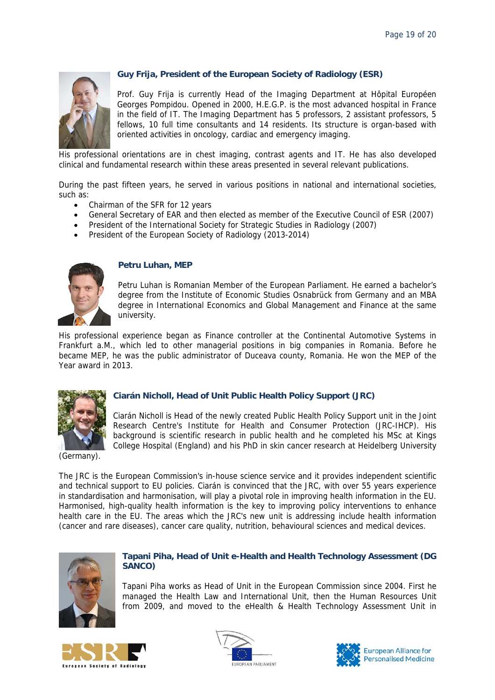

### **Guy Frija, President of the European Society of Radiology (ESR)**

Prof. Guy Frija is currently Head of the Imaging Department at Hôpital Européen Georges Pompidou. Opened in 2000, H.E.G.P. is the most advanced hospital in France in the field of IT. The Imaging Department has 5 professors, 2 assistant professors, 5 fellows, 10 full time consultants and 14 residents. Its structure is organ-based with oriented activities in oncology, cardiac and emergency imaging.

His professional orientations are in chest imaging, contrast agents and IT. He has also developed clinical and fundamental research within these areas presented in several relevant publications.

During the past fifteen years, he served in various positions in national and international societies, such as:

- Chairman of the SFR for 12 years
- General Secretary of EAR and then elected as member of the Executive Council of ESR (2007)
- President of the International Society for Strategic Studies in Radiology (2007)
- President of the European Society of Radiology (2013-2014)



#### **Petru Luhan, MEP**

Petru Luhan is Romanian Member of the European Parliament. He earned a bachelor's degree from the Institute of Economic Studies Osnabrück from Germany and an MBA degree in International Economics and Global Management and Finance at the same university.

His professional experience began as Finance controller at the Continental Automotive Systems in Frankfurt a.M., which led to other managerial positions in big companies in Romania. Before he became MEP, he was the public administrator of Duceava county, Romania. He won the MEP of the Year award in 2013.



### **Ciarán Nicholl, Head of Unit Public Health Policy Support (JRC)**

Ciarán Nicholl is Head of the newly created Public Health Policy Support unit in the Joint Research Centre's Institute for Health and Consumer Protection (JRC-IHCP). His background is scientific research in public health and he completed his MSc at Kings College Hospital (England) and his PhD in skin cancer research at Heidelberg University

(Germany).

The JRC is the European Commission's in-house science service and it provides independent scientific and technical support to EU policies. Ciarán is convinced that the JRC, with over 55 years experience in standardisation and harmonisation, will play a pivotal role in improving health information in the EU. Harmonised, high-quality health information is the key to improving policy interventions to enhance health care in the EU. The areas which the JRC's new unit is addressing include health information (cancer and rare diseases), cancer care quality, nutrition, behavioural sciences and medical devices.



#### **Tapani Piha, Head of Unit e-Health and Health Technology Assessment (DG SANCO)**

Tapani Piha works as Head of Unit in the European Commission since 2004. First he managed the Health Law and International Unit, then the Human Resources Unit from 2009, and moved to the eHealth & Health Technology Assessment Unit in